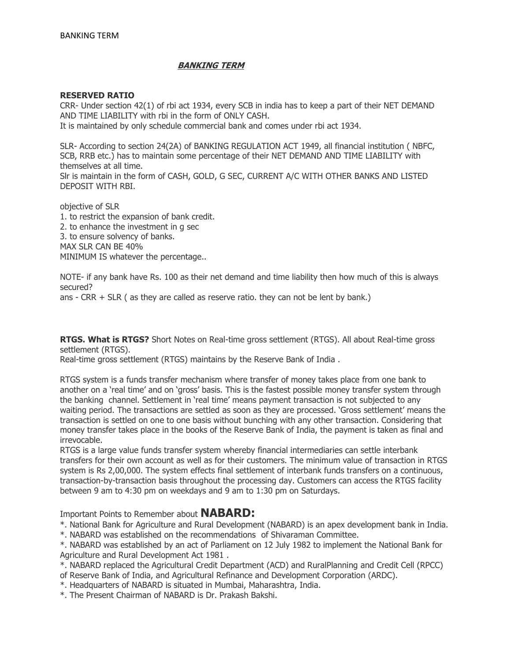# **BANKING TERM**

## **RESERVED RATIO**

CRR- Under section 42(1) of rbi act 1934, every SCB in india has to keep a part of their NET DEMAND AND TIME LIABILITY with rbi in the form of ONLY CASH. It is maintained by only schedule commercial bank and comes under rbi act 1934.

SLR- According to section 24(2A) of BANKING REGULATION ACT 1949, all financial institution ( NBFC, SCB, RRB etc.) has to maintain some percentage of their NET DEMAND AND TIME LIABILITY with themselves at all time. Slr is maintain in the form of CASH, GOLD, G SEC, CURRENT A/C WITH OTHER BANKS AND LISTED DEPOSIT WITH RBI.

objective of SLR 1. to restrict the expansion of bank credit. 2. to enhance the investment in g sec 3. to ensure solvency of banks. MAX SLR CAN BE 40% MINIMUM IS whatever the percentage..

NOTE- if any bank have Rs. 100 as their net demand and time liability then how much of this is always secured?

ans - CRR + SLR ( as they are called as reserve ratio. they can not be lent by bank.)

**RTGS. What is RTGS?** Short Notes on Real-time gross settlement (RTGS). All about Real-time gross settlement (RTGS).

Real-time gross settlement (RTGS) maintains by the Reserve Bank of India .

RTGS system is a funds transfer mechanism where transfer of money takes place from one bank to another on a 'real time' and on 'gross' basis. This is the fastest possible money transfer system through the banking channel. Settlement in 'real time' means payment transaction is not subjected to any waiting period. The transactions are settled as soon as they are processed. ‗Gross settlement' means the transaction is settled on one to one basis without bunching with any other transaction. Considering that money transfer takes place in the books of the Reserve Bank of India, the payment is taken as final and irrevocable.

RTGS is a large value funds transfer system whereby financial intermediaries can settle interbank transfers for their own account as well as for their customers. The minimum value of transaction in RTGS system is Rs 2,00,000. The system effects final settlement of interbank funds transfers on a continuous, transaction-by-transaction basis throughout the processing day. Customers can access the RTGS facility between 9 am to 4:30 pm on weekdays and 9 am to 1:30 pm on Saturdays.

Important Points to Remember about **NABARD:**

\*. National Bank for Agriculture and Rural Development (NABARD) is an apex development bank in India.

\*. NABARD was established on the recommendations of Shivaraman Committee.

\*. NABARD was established by an act of Parliament on 12 July 1982 to implement the National Bank for Agriculture and Rural Development Act 1981 .

\*. NABARD replaced the Agricultural Credit Department (ACD) and RuralPlanning and Credit Cell (RPCC) of Reserve Bank of India, and Agricultural Refinance and Development Corporation (ARDC).

\*. Headquarters of NABARD is situated in Mumbai, Maharashtra, India.

\*. The Present Chairman of NABARD is Dr. Prakash Bakshi.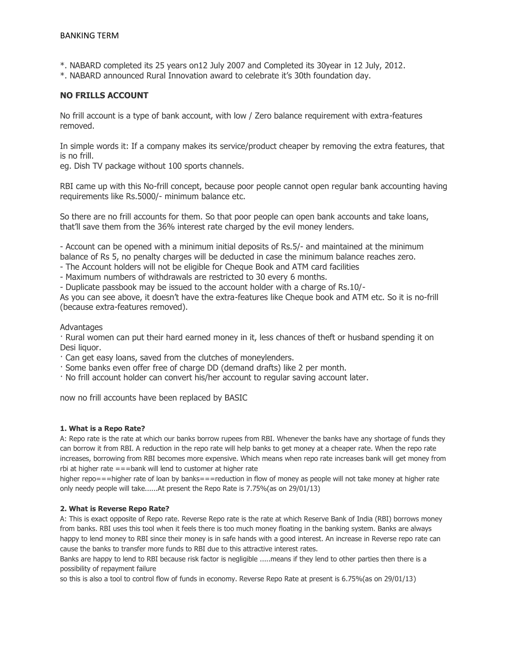- \*. NABARD completed its 25 years on12 July 2007 and Completed its 30year in 12 July, 2012.
- \*. NABARD announced Rural Innovation award to celebrate it's 30th foundation day.

## **NO FRILLS ACCOUNT**

No frill account is a type of bank account, with low / Zero balance requirement with extra-features removed.

In simple words it: If a company makes its service/product cheaper by removing the extra features, that is no frill.

eg. Dish TV package without 100 sports channels.

RBI came up with this No-frill concept, because poor people cannot open regular bank accounting having requirements like Rs.5000/- minimum balance etc.

So there are no frill accounts for them. So that poor people can open bank accounts and take loans, that'll save them from the 36% interest rate charged by the evil money lenders.

- Account can be opened with a minimum initial deposits of Rs.5/- and maintained at the minimum balance of Rs 5, no penalty charges will be deducted in case the minimum balance reaches zero.

- The Account holders will not be eligible for Cheque Book and ATM card facilities

- Maximum numbers of withdrawals are restricted to 30 every 6 months.

- Duplicate passbook may be issued to the account holder with a charge of Rs.10/-

As you can see above, it doesn't have the extra-features like Cheque book and ATM etc. So it is no-frill (because extra-features removed).

## Advantages

· Rural women can put their hard earned money in it, less chances of theft or husband spending it on Desi liquor.

· Can get easy loans, saved from the clutches of moneylenders.

- · Some banks even offer free of charge DD (demand drafts) like 2 per month.
- · No frill account holder can convert his/her account to regular saving account later.

now no frill accounts have been replaced by BASIC

## **1. What is a Repo Rate?**

A: Repo rate is the rate at which our banks borrow rupees from RBI. Whenever the banks have any shortage of funds they can borrow it from RBI. A reduction in the repo rate will help banks to get money at a cheaper rate. When the repo rate increases, borrowing from RBI becomes more expensive. Which means when repo rate increases bank will get money from rbi at higher rate ===bank will lend to customer at higher rate

higher repo===higher rate of loan by banks===reduction in flow of money as people will not take money at higher rate only needy people will take......At present the Repo Rate is 7.75%(as on 29/01/13)

## **2. What is Reverse Repo Rate?**

A: This is exact opposite of Repo rate. Reverse Repo rate is the rate at which Reserve Bank of India (RBI) borrows money from banks. RBI uses this tool when it feels there is too much money floating in the banking system. Banks are always happy to lend money to RBI since their money is in safe hands with a good interest. An increase in Reverse repo rate can cause the banks to transfer more funds to RBI due to this attractive interest rates.

Banks are happy to lend to RBI because risk factor is negligible .....means if they lend to other parties then there is a possibility of repayment failure

so this is also a tool to control flow of funds in economy. Reverse Repo Rate at present is 6.75%(as on 29/01/13)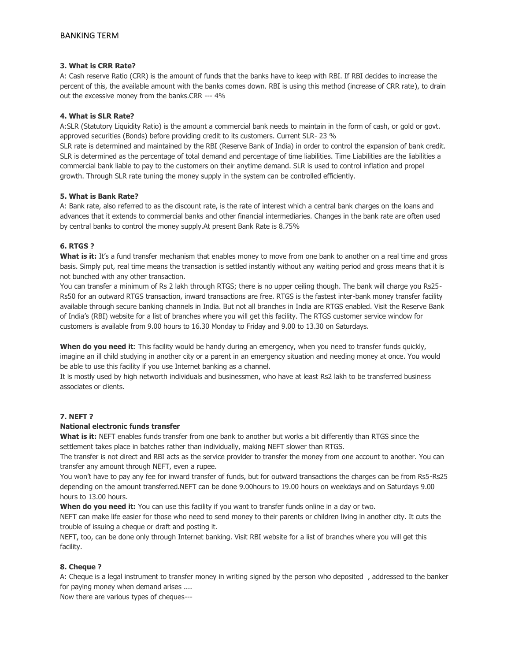## **3. What is CRR Rate?**

A: Cash reserve Ratio (CRR) is the amount of funds that the banks have to keep with RBI. If RBI decides to increase the percent of this, the available amount with the banks comes down. RBI is using this method (increase of CRR rate), to drain out the excessive money from the banks.CRR --- 4%

## **4. What is SLR Rate?**

A:SLR (Statutory Liquidity Ratio) is the amount a commercial bank needs to maintain in the form of cash, or gold or govt. approved securities (Bonds) before providing credit to its customers. Current SLR- 23 %

SLR rate is determined and maintained by the RBI (Reserve Bank of India) in order to control the expansion of bank credit. SLR is determined as the percentage of total demand and percentage of time liabilities. Time Liabilities are the liabilities a commercial bank liable to pay to the customers on their anytime demand. SLR is used to control inflation and propel growth. Through SLR rate tuning the money supply in the system can be controlled efficiently.

## **5. What is Bank Rate?**

A: Bank rate, also referred to as the discount rate, is the rate of interest which a central bank charges on the loans and advances that it extends to commercial banks and other financial intermediaries. Changes in the bank rate are often used by central banks to control the money supply.At present Bank Rate is 8.75%

## **6. RTGS ?**

What is it: It's a fund transfer mechanism that enables money to move from one bank to another on a real time and gross basis. Simply put, real time means the transaction is settled instantly without any waiting period and gross means that it is not bunched with any other transaction.

You can transfer a minimum of Rs 2 lakh through RTGS; there is no upper ceiling though. The bank will charge you Rs25- Rs50 for an outward RTGS transaction, inward transactions are free. RTGS is the fastest inter-bank money transfer facility available through secure banking channels in India. But not all branches in India are RTGS enabled. Visit the Reserve Bank of India's (RBI) website for a list of branches where you will get this facility. The RTGS customer service window for customers is available from 9.00 hours to 16.30 Monday to Friday and 9.00 to 13.30 on Saturdays.

**When do you need it**: This facility would be handy during an emergency, when you need to transfer funds quickly, imagine an ill child studying in another city or a parent in an emergency situation and needing money at once. You would be able to use this facility if you use Internet banking as a channel.

It is mostly used by high networth individuals and businessmen, who have at least Rs2 lakh to be transferred business associates or clients.

## **7. NEFT ?**

## **National electronic funds transfer**

**What is it:** NEFT enables funds transfer from one bank to another but works a bit differently than RTGS since the settlement takes place in batches rather than individually, making NEFT slower than RTGS.

The transfer is not direct and RBI acts as the service provider to transfer the money from one account to another. You can transfer any amount through NEFT, even a rupee.

You won't have to pay any fee for inward transfer of funds, but for outward transactions the charges can be from Rs5-Rs25 depending on the amount transferred.NEFT can be done 9.00hours to 19.00 hours on weekdays and on Saturdays 9.00 hours to 13.00 hours.

When do you need it: You can use this facility if you want to transfer funds online in a day or two.

NEFT can make life easier for those who need to send money to their parents or children living in another city. It cuts the trouble of issuing a cheque or draft and posting it.

NEFT, too, can be done only through Internet banking. Visit RBI website for a list of branches where you will get this facility.

## **8. Cheque ?**

A: Cheque is a legal instrument to transfer money in writing signed by the person who deposited , addressed to the banker for paying money when demand arises ....

Now there are various types of cheques---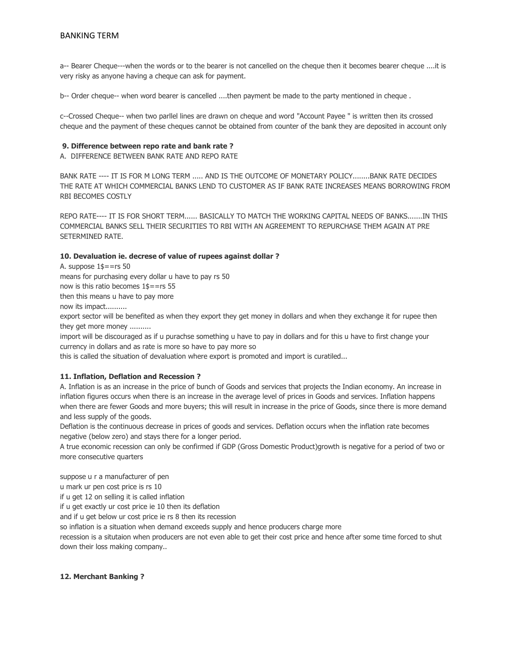a-- Bearer Cheque---when the words or to the bearer is not cancelled on the cheque then it becomes bearer cheque ....it is very risky as anyone having a cheque can ask for payment.

b-- Order cheque-- when word bearer is cancelled ....then payment be made to the party mentioned in cheque .

c--Crossed Cheque-- when two parllel lines are drawn on cheque and word "Account Payee " is written then its crossed cheque and the payment of these cheques cannot be obtained from counter of the bank they are deposited in account only

#### **9. Difference between repo rate and bank rate ?**

A. DIFFERENCE BETWEEN BANK RATE AND REPO RATE

BANK RATE ---- IT IS FOR M LONG TERM ..... AND IS THE OUTCOME OF MONETARY POLICY........BANK RATE DECIDES THE RATE AT WHICH COMMERCIAL BANKS LEND TO CUSTOMER AS IF BANK RATE INCREASES MEANS BORROWING FROM RBI BECOMES COSTLY

REPO RATE---- IT IS FOR SHORT TERM...... BASICALLY TO MATCH THE WORKING CAPITAL NEEDS OF BANKS.......IN THIS COMMERCIAL BANKS SELL THEIR SECURITIES TO RBI WITH AN AGREEMENT TO REPURCHASE THEM AGAIN AT PRE SETERMINED RATE.

#### **10. Devaluation ie. decrese of value of rupees against dollar ?**

A. suppose 1\$==rs 50 means for purchasing every dollar u have to pay rs 50 now is this ratio becomes 1\$==rs 55

then this means u have to pay more

now its impact..........

export sector will be benefited as when they export they get money in dollars and when they exchange it for rupee then they get more money ..........

import will be discouraged as if u purachse something u have to pay in dollars and for this u have to first change your currency in dollars and as rate is more so have to pay more so

this is called the situation of devaluation where export is promoted and import is curatiled...

## **11. Inflation, Deflation and Recession ?**

A. Inflation is as an increase in the price of bunch of Goods and services that projects the Indian economy. An increase in inflation figures occurs when there is an increase in the average level of prices in Goods and services. Inflation happens when there are fewer Goods and more buyers; this will result in increase in the price of Goods, since there is more demand and less supply of the goods.

Deflation is the continuous decrease in prices of goods and services. Deflation occurs when the inflation rate becomes negative (below zero) and stays there for a longer period.

A true economic recession can only be confirmed if GDP (Gross Domestic Product)growth is negative for a period of two or more consecutive quarters

suppose u r a manufacturer of pen

u mark ur pen cost price is rs 10

if u get 12 on selling it is called inflation

if u get exactly ur cost price ie 10 then its deflation

and if u get below ur cost price ie rs 8 then its recession

so inflation is a situation when demand exceeds supply and hence producers charge more

recession is a situtaion when producers are not even able to get their cost price and hence after some time forced to shut down their loss making company..

#### **12. Merchant Banking ?**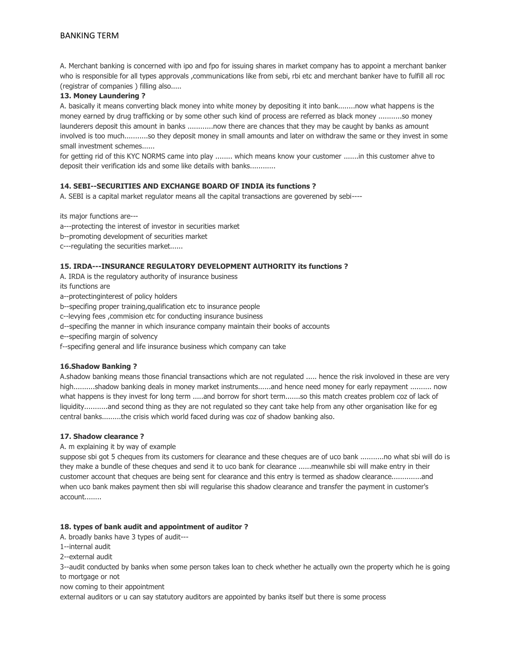A. Merchant banking is concerned with ipo and fpo for issuing shares in market company has to appoint a merchant banker who is responsible for all types approvals ,communications like from sebi, rbi etc and merchant banker have to fulfill all roc (registrar of companies ) filling also.....

## **13. Money Laundering ?**

A. basically it means converting black money into white money by depositing it into bank........now what happens is the money earned by drug trafficking or by some other such kind of process are referred as black money ...........so money launderers deposit this amount in banks ............now there are chances that they may be caught by banks as amount involved is too much...........so they deposit money in small amounts and later on withdraw the same or they invest in some small investment schemes......

for getting rid of this KYC NORMS came into play ........ which means know your customer .......in this customer ahve to deposit their verification ids and some like details with banks............

## **14. SEBI--SECURITIES AND EXCHANGE BOARD OF INDIA its functions ?**

A. SEBI is a capital market regulator means all the capital transactions are goverened by sebi----

its major functions are---

- a---protecting the interest of investor in securities market
- b--promoting development of securities market
- c---regulating the securities market......

#### **15. IRDA---INSURANCE REGULATORY DEVELOPMENT AUTHORITY its functions ?**

- A. IRDA is the regulatory authority of insurance business
- its functions are
- a--protectinginterest of policy holders
- b--specifing proper training,qualification etc to insurance people
- c--levying fees ,commision etc for conducting insurance business
- d--specifing the manner in which insurance company maintain their books of accounts
- e--specifing margin of solvency
- f--specifing general and life insurance business which company can take

#### **16.Shadow Banking ?**

A.shadow banking means those financial transactions which are not regulated ..... hence the risk involoved in these are very high..........shadow banking deals in money market instruments......and hence need money for early repayment .......... now what happens is they invest for long term .....and borrow for short term.......so this match creates problem coz of lack of liquidity...........and second thing as they are not regulated so they cant take help from any other organisation like for eg central banks.........the crisis which world faced during was coz of shadow banking also.

#### **17. Shadow clearance ?**

A. m explaining it by way of example

suppose sbi got 5 cheques from its customers for clearance and these cheques are of uco bank ...........no what sbi will do is they make a bundle of these cheques and send it to uco bank for clearance ......meanwhile sbi will make entry in their customer account that cheques are being sent for clearance and this entry is termed as shadow clearance..............and when uco bank makes payment then sbi will regularise this shadow clearance and transfer the payment in customer's account........

#### **18. types of bank audit and appointment of auditor ?**

- A. broadly banks have 3 types of audit---
- 1--internal audit
- 2--external audit

3--audit conducted by banks when some person takes loan to check whether he actually own the property which he is going to mortgage or not

now coming to their appointment

external auditors or u can say statutory auditors are appointed by banks itself but there is some process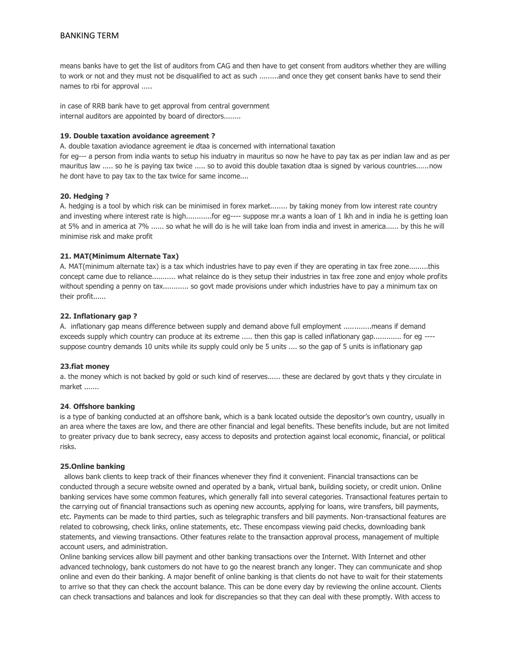means banks have to get the list of auditors from CAG and then have to get consent from auditors whether they are willing to work or not and they must not be disqualified to act as such .........and once they get consent banks have to send their names to rbi for approval .....

in case of RRB bank have to get approval from central government internal auditors are appointed by board of directors........

## **19. Double taxation avoidance agreement ?**

A. double taxation aviodance agreement ie dtaa is concerned with international taxation

for eg--- a person from india wants to setup his induatry in mauritus so now he have to pay tax as per indian law and as per mauritus law ..... so he is paying tax twice ..... so to avoid this double taxation dtaa is signed by various countries......now he dont have to pay tax to the tax twice for same income....

#### **20. Hedging ?**

A. hedging is a tool by which risk can be minimised in forex market........ by taking money from low interest rate country and investing where interest rate is high............for eg---- suppose mr.a wants a loan of 1 lkh and in india he is getting loan at 5% and in america at 7% ...... so what he will do is he will take loan from india and invest in america...... by this he will minimise risk and make profit

## **21. MAT(Minimum Alternate Tax)**

A. MAT(minimum alternate tax) is a tax which industries have to pay even if they are operating in tax free zone.........this concept came due to reliance........... what relaince do is they setup their industries in tax free zone and enjoy whole profits without spending a penny on tax............ so govt made provisions under which industries have to pay a minimum tax on their profit......

## **22. Inflationary gap ?**

A. inflationary gap means difference between supply and demand above full employment .............means if demand exceeds supply which country can produce at its extreme ..... then this gap is called inflationary gap............. for eg --- suppose country demands 10 units while its supply could only be 5 units .... so the gap of 5 units is inflationary gap

#### **23.fiat money**

a. the money which is not backed by gold or such kind of reserves...... these are declared by govt thats y they circulate in market .......

#### **24**. **Offshore banking**

is a type of banking conducted at an offshore bank, which is a bank located outside the depositor's own country, usually in an area where the taxes are low, and there are other financial and legal benefits. These benefits include, but are not limited to greater privacy due to bank secrecy, easy access to deposits and protection against local economic, financial, or political risks.

#### **25.Online banking**

allows bank clients to keep track of their finances whenever they find it convenient. Financial transactions can be conducted through a secure website owned and operated by a bank, virtual bank, building society, or credit union. Online banking services have some common features, which generally fall into several categories. Transactional features pertain to the carrying out of financial transactions such as opening new accounts, applying for loans, wire transfers, bill payments, etc. Payments can be made to third parties, such as telegraphic transfers and bill payments. Non-transactional features are related to cobrowsing, check links, online statements, etc. These encompass viewing paid checks, downloading bank statements, and viewing transactions. Other features relate to the transaction approval process, management of multiple account users, and administration.

Online banking services allow bill payment and other banking transactions over the Internet. With Internet and other advanced technology, bank customers do not have to go the nearest branch any longer. They can communicate and shop online and even do their banking. A major benefit of online banking is that clients do not have to wait for their statements to arrive so that they can check the account balance. This can be done every day by reviewing the online account. Clients can check transactions and balances and look for discrepancies so that they can deal with these promptly. With access to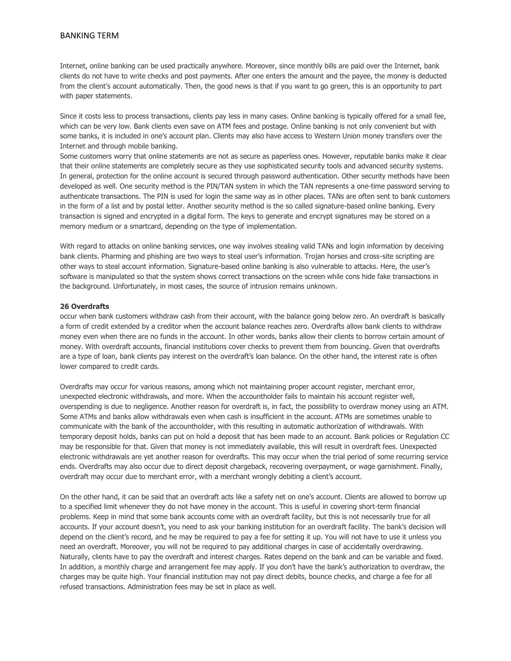Internet, online banking can be used practically anywhere. Moreover, since monthly bills are paid over the Internet, bank clients do not have to write checks and post payments. After one enters the amount and the payee, the money is deducted from the client's account automatically. Then, the good news is that if you want to go green, this is an opportunity to part with paper statements.

Since it costs less to process transactions, clients pay less in many cases. Online banking is typically offered for a small fee, which can be very low. Bank clients even save on ATM fees and postage. Online banking is not only convenient but with some banks, it is included in one's account plan. Clients may also have access to Western Union money transfers over the Internet and through mobile banking.

Some customers worry that online statements are not as secure as paperless ones. However, reputable banks make it clear that their online statements are completely secure as they use sophisticated security tools and advanced security systems. In general, protection for the online account is secured through password authentication. Other security methods have been developed as well. One security method is the PIN/TAN system in which the TAN represents a one-time password serving to authenticate transactions. The PIN is used for login the same way as in other places. TANs are often sent to bank customers in the form of a list and by postal letter. Another security method is the so called signature-based online banking. Every transaction is signed and encrypted in a digital form. The keys to generate and encrypt signatures may be stored on a memory medium or a smartcard, depending on the type of implementation.

With regard to attacks on online banking services, one way involves stealing valid TANs and login information by deceiving bank clients. Pharming and phishing are two ways to steal user's information. Trojan horses and cross-site scripting are other ways to steal account information. Signature-based online banking is also vulnerable to attacks. Here, the user's software is manipulated so that the system shows correct transactions on the screen while cons hide fake transactions in the background. Unfortunately, in most cases, the source of intrusion remains unknown.

## **26 Overdrafts**

occur when bank customers withdraw cash from their account, with the balance going below zero. An overdraft is basically a form of credit extended by a creditor when the account balance reaches zero. Overdrafts allow bank clients to withdraw money even when there are no funds in the account. In other words, banks allow their clients to borrow certain amount of money. With overdraft accounts, financial institutions cover checks to prevent them from bouncing. Given that overdrafts are a type of loan, bank clients pay interest on the overdraft's loan balance. On the other hand, the interest rate is often lower compared to credit cards.

Overdrafts may occur for various reasons, among which not maintaining proper account register, merchant error, unexpected electronic withdrawals, and more. When the accountholder fails to maintain his account register well, overspending is due to negligence. Another reason for overdraft is, in fact, the possibility to overdraw money using an ATM. Some ATMs and banks allow withdrawals even when cash is insufficient in the account. ATMs are sometimes unable to communicate with the bank of the accountholder, with this resulting in automatic authorization of withdrawals. With temporary deposit holds, banks can put on hold a deposit that has been made to an account. Bank policies or Regulation CC may be responsible for that. Given that money is not immediately available, this will result in overdraft fees. Unexpected electronic withdrawals are yet another reason for overdrafts. This may occur when the trial period of some recurring service ends. Overdrafts may also occur due to direct deposit chargeback, recovering overpayment, or wage garnishment. Finally, overdraft may occur due to merchant error, with a merchant wrongly debiting a client's account.

On the other hand, it can be said that an overdraft acts like a safety net on one's account. Clients are allowed to borrow up to a specified limit whenever they do not have money in the account. This is useful in covering short-term financial problems. Keep in mind that some bank accounts come with an overdraft facility, but this is not necessarily true for all accounts. If your account doesn't, you need to ask your banking institution for an overdraft facility. The bank's decision will depend on the client's record, and he may be required to pay a fee for setting it up. You will not have to use it unless you need an overdraft. Moreover, you will not be required to pay additional charges in case of accidentally overdrawing. Naturally, clients have to pay the overdraft and interest charges. Rates depend on the bank and can be variable and fixed. In addition, a monthly charge and arrangement fee may apply. If you don't have the bank's authorization to overdraw, the charges may be quite high. Your financial institution may not pay direct debits, bounce checks, and charge a fee for all refused transactions. Administration fees may be set in place as well.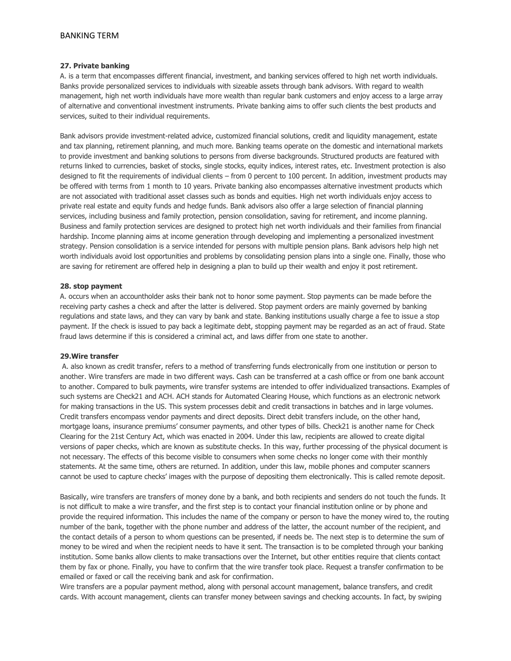## **27. Private banking**

A. is a term that encompasses different financial, investment, and banking services offered to high net worth individuals. Banks provide personalized services to individuals with sizeable assets through bank advisors. With regard to wealth management, high net worth individuals have more wealth than regular bank customers and enjoy access to a large array of alternative and conventional investment instruments. Private banking aims to offer such clients the best products and services, suited to their individual requirements.

Bank advisors provide investment-related advice, customized financial solutions, credit and liquidity management, estate and tax planning, retirement planning, and much more. Banking teams operate on the domestic and international markets to provide investment and banking solutions to persons from diverse backgrounds. Structured products are featured with returns linked to currencies, basket of stocks, single stocks, equity indices, interest rates, etc. Investment protection is also designed to fit the requirements of individual clients – from 0 percent to 100 percent. In addition, investment products may be offered with terms from 1 month to 10 years. Private banking also encompasses alternative investment products which are not associated with traditional asset classes such as bonds and equities. High net worth individuals enjoy access to private real estate and equity funds and hedge funds. Bank advisors also offer a large selection of financial planning services, including business and family protection, pension consolidation, saving for retirement, and income planning. Business and family protection services are designed to protect high net worth individuals and their families from financial hardship. Income planning aims at income generation through developing and implementing a personalized investment strategy. Pension consolidation is a service intended for persons with multiple pension plans. Bank advisors help high net worth individuals avoid lost opportunities and problems by consolidating pension plans into a single one. Finally, those who are saving for retirement are offered help in designing a plan to build up their wealth and enjoy it post retirement.

#### **28. stop payment**

A. occurs when an accountholder asks their bank not to honor some payment. Stop payments can be made before the receiving party cashes a check and after the latter is delivered. Stop payment orders are mainly governed by banking regulations and state laws, and they can vary by bank and state. Banking institutions usually charge a fee to issue a stop payment. If the check is issued to pay back a legitimate debt, stopping payment may be regarded as an act of fraud. State fraud laws determine if this is considered a criminal act, and laws differ from one state to another.

#### **29.Wire transfer**

A. also known as credit transfer, refers to a method of transferring funds electronically from one institution or person to another. Wire transfers are made in two different ways. Cash can be transferred at a cash office or from one bank account to another. Compared to bulk payments, wire transfer systems are intended to offer individualized transactions. Examples of such systems are Check21 and ACH. ACH stands for Automated Clearing House, which functions as an electronic network for making transactions in the US. This system processes debit and credit transactions in batches and in large volumes. Credit transfers encompass vendor payments and direct deposits. Direct debit transfers include, on the other hand, mortgage loans, insurance premiums' consumer payments, and other types of bills. Check21 is another name for Check Clearing for the 21st Century Act, which was enacted in 2004. Under this law, recipients are allowed to create digital versions of paper checks, which are known as substitute checks. In this way, further processing of the physical document is not necessary. The effects of this become visible to consumers when some checks no longer come with their monthly statements. At the same time, others are returned. In addition, under this law, mobile phones and computer scanners cannot be used to capture checks' images with the purpose of depositing them electronically. This is called remote deposit.

Basically, wire transfers are transfers of money done by a bank, and both recipients and senders do not touch the funds. It is not difficult to make a wire transfer, and the first step is to contact your financial institution online or by phone and provide the required information. This includes the name of the company or person to have the money wired to, the routing number of the bank, together with the phone number and address of the latter, the account number of the recipient, and the contact details of a person to whom questions can be presented, if needs be. The next step is to determine the sum of money to be wired and when the recipient needs to have it sent. The transaction is to be completed through your banking institution. Some banks allow clients to make transactions over the Internet, but other entities require that clients contact them by fax or phone. Finally, you have to confirm that the wire transfer took place. Request a transfer confirmation to be emailed or faxed or call the receiving bank and ask for confirmation.

Wire transfers are a popular payment method, along with personal account management, balance transfers, and credit cards. With account management, clients can transfer money between savings and checking accounts. In fact, by swiping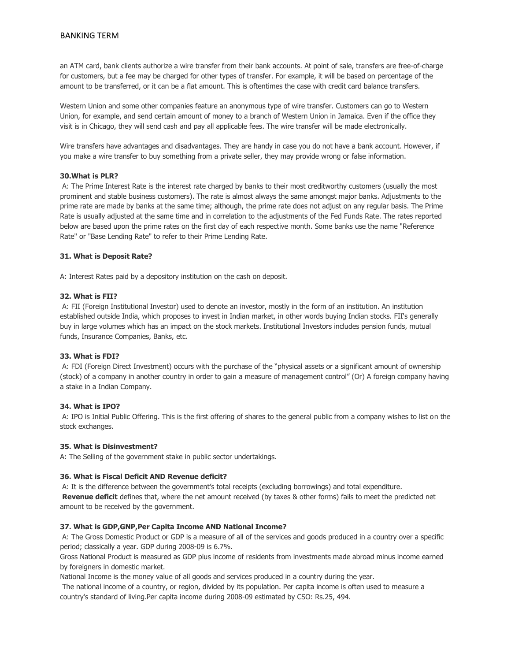an ATM card, bank clients authorize a wire transfer from their bank accounts. At point of sale, transfers are free-of-charge for customers, but a fee may be charged for other types of transfer. For example, it will be based on percentage of the amount to be transferred, or it can be a flat amount. This is oftentimes the case with credit card balance transfers.

Western Union and some other companies feature an anonymous type of wire transfer. Customers can go to Western Union, for example, and send certain amount of money to a branch of Western Union in Jamaica. Even if the office they visit is in Chicago, they will send cash and pay all applicable fees. The wire transfer will be made electronically.

Wire transfers have advantages and disadvantages. They are handy in case you do not have a bank account. However, if you make a wire transfer to buy something from a private seller, they may provide wrong or false information.

## **30.What is PLR?**

A: The Prime Interest Rate is the interest rate charged by banks to their most creditworthy customers (usually the most prominent and stable business customers). The rate is almost always the same amongst major banks. Adjustments to the prime rate are made by banks at the same time; although, the prime rate does not adjust on any regular basis. The Prime Rate is usually adjusted at the same time and in correlation to the adjustments of the Fed Funds Rate. The rates reported below are based upon the prime rates on the first day of each respective month. Some banks use the name "Reference Rate" or "Base Lending Rate" to refer to their Prime Lending Rate.

## **31. What is Deposit Rate?**

A: Interest Rates paid by a depository institution on the cash on deposit.

## **32. What is FII?**

A: FII (Foreign Institutional Investor) used to denote an investor, mostly in the form of an institution. An institution established outside India, which proposes to invest in Indian market, in other words buying Indian stocks. FII's generally buy in large volumes which has an impact on the stock markets. Institutional Investors includes pension funds, mutual funds, Insurance Companies, Banks, etc.

## **33. What is FDI?**

A: FDI (Foreign Direct Investment) occurs with the purchase of the "physical assets or a significant amount of ownership (stock) of a company in another country in order to gain a measure of management control" (Or) A foreign company having a stake in a Indian Company.

#### **34. What is IPO?**

A: IPO is Initial Public Offering. This is the first offering of shares to the general public from a company wishes to list on the stock exchanges.

#### **35. What is Disinvestment?**

A: The Selling of the government stake in public sector undertakings.

## **36. What is Fiscal Deficit AND Revenue deficit?**

A: It is the difference between the government's total receipts (excluding borrowings) and total expenditure. **Revenue deficit** defines that, where the net amount received (by taxes & other forms) fails to meet the predicted net amount to be received by the government.

#### **37. What is GDP,GNP,Per Capita Income AND National Income?**

A: The Gross Domestic Product or GDP is a measure of all of the services and goods produced in a country over a specific period; classically a year. GDP during 2008-09 is 6.7%.

Gross National Product is measured as GDP plus income of residents from investments made abroad minus income earned by foreigners in domestic market.

National Income is the money value of all goods and services produced in a country during the year.

The national income of a country, or region, divided by its population. Per capita income is often used to measure a country's standard of living.Per capita income during 2008-09 estimated by CSO: Rs.25, 494.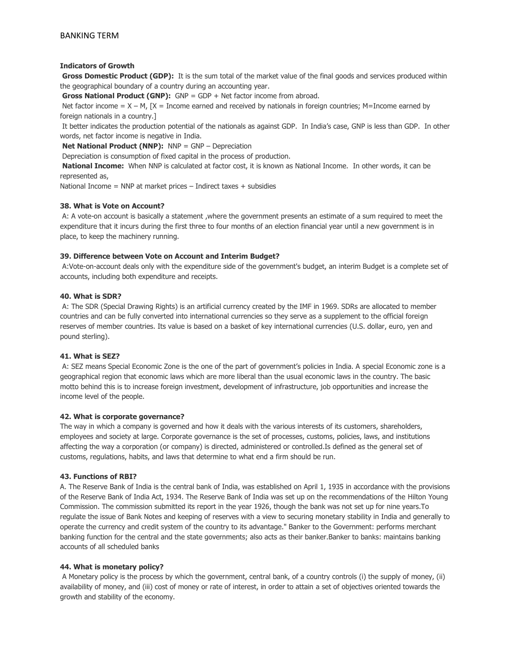## **Indicators of Growth**

**Gross Domestic Product (GDP):** It is the sum total of the market value of the final goods and services produced within the geographical boundary of a country during an accounting year.

**Gross National Product (GNP):** GNP = GDP + Net factor income from abroad.

Net factor income =  $X - M$ ,  $[X =]$  Income earned and received by nationals in foreign countries; M=Income earned by foreign nationals in a country.]

It better indicates the production potential of the nationals as against GDP. In India's case, GNP is less than GDP. In other words, net factor income is negative in India.

**Net National Product (NNP):** NNP = GNP – Depreciation

Depreciation is consumption of fixed capital in the process of production.

**National Income:** When NNP is calculated at factor cost, it is known as National Income. In other words, it can be represented as,

National Income = NNP at market prices – Indirect taxes + subsidies

## **38. What is Vote on Account?**

A: A vote-on account is basically a statement ,where the government presents an estimate of a sum required to meet the expenditure that it incurs during the first three to four months of an election financial year until a new government is in place, to keep the machinery running.

## **39. Difference between Vote on Account and Interim Budget?**

A:Vote-on-account deals only with the expenditure side of the government's budget, an interim Budget is a complete set of accounts, including both expenditure and receipts.

## **40. What is SDR?**

A: The SDR (Special Drawing Rights) is an artificial currency created by the IMF in 1969. SDRs are allocated to member countries and can be fully converted into international currencies so they serve as a supplement to the official foreign reserves of member countries. Its value is based on a basket of key international currencies (U.S. dollar, euro, yen and pound sterling).

## **41. What is SEZ?**

A: SEZ means Special Economic Zone is the one of the part of government's policies in India. A special Economic zone is a geographical region that economic laws which are more liberal than the usual economic laws in the country. The basic motto behind this is to increase foreign investment, development of infrastructure, job opportunities and increase the income level of the people.

## **42. What is corporate governance?**

The way in which a company is governed and how it deals with the various interests of its customers, shareholders, employees and society at large. Corporate governance is the set of processes, customs, policies, laws, and institutions affecting the way a corporation (or company) is directed, administered or controlled.Is defined as the general set of customs, regulations, habits, and laws that determine to what end a firm should be run.

## **43. Functions of RBI?**

A. The Reserve Bank of India is the central bank of India, was established on April 1, 1935 in accordance with the provisions of the Reserve Bank of India Act, 1934. The Reserve Bank of India was set up on the recommendations of the Hilton Young Commission. The commission submitted its report in the year 1926, though the bank was not set up for nine years.To regulate the issue of Bank Notes and keeping of reserves with a view to securing monetary stability in India and generally to operate the currency and credit system of the country to its advantage." Banker to the Government: performs merchant banking function for the central and the state governments; also acts as their banker.Banker to banks: maintains banking accounts of all scheduled banks

## **44. What is monetary policy?**

A Monetary policy is the process by which the government, central bank, of a country controls (i) the supply of money, (ii) availability of money, and (iii) cost of money or rate of interest, in order to attain a set of objectives oriented towards the growth and stability of the economy.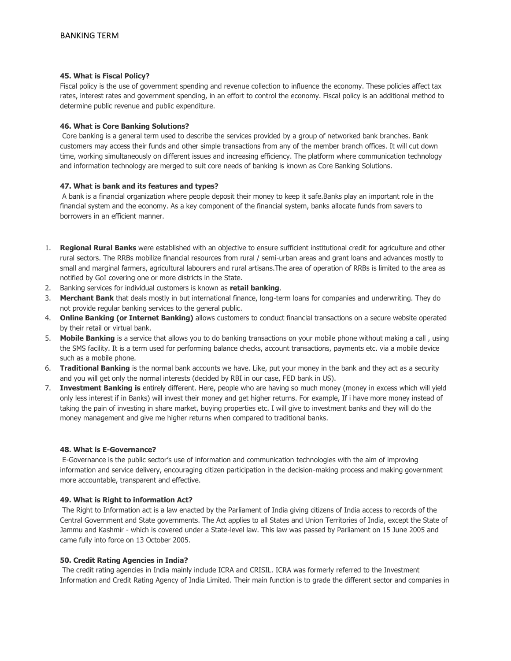## **45. What is Fiscal Policy?**

Fiscal policy is the use of government spending and revenue collection to influence the economy. These policies affect tax rates, interest rates and government spending, in an effort to control the economy. Fiscal policy is an additional method to determine public revenue and public expenditure.

## **46. What is Core Banking Solutions?**

Core banking is a general term used to describe the services provided by a group of networked bank branches. Bank customers may access their funds and other simple transactions from any of the member branch offices. It will cut down time, working simultaneously on different issues and increasing efficiency. The platform where communication technology and information technology are merged to suit core needs of banking is known as Core Banking Solutions.

## **47. What is bank and its features and types?**

A bank is a financial organization where people deposit their money to keep it safe.Banks play an important role in the financial system and the economy. As a key component of the financial system, banks allocate funds from savers to borrowers in an efficient manner.

- 1. **Regional Rural Banks** were established with an objective to ensure sufficient institutional credit for agriculture and other rural sectors. The RRBs mobilize financial resources from rural / semi-urban areas and grant loans and advances mostly to small and marginal farmers, agricultural labourers and rural artisans.The area of operation of RRBs is limited to the area as notified by GoI covering one or more districts in the State.
- 2. Banking services for individual customers is known as **retail banking**.
- 3. **Merchant Bank** that deals mostly in but international finance, long-term loans for companies and underwriting. They do not provide regular banking services to the general public.
- 4. **Online Banking (or Internet Banking)** allows customers to conduct financial transactions on a secure website operated by their retail or virtual bank.
- 5. **Mobile Banking** is a service that allows you to do banking transactions on your mobile phone without making a call , using the SMS facility. It is a term used for performing balance checks, account transactions, payments etc. via a mobile device such as a mobile phone.
- 6. **Traditional Banking** is the normal bank accounts we have. Like, put your money in the bank and they act as a security and you will get only the normal interests (decided by RBI in our case, FED bank in US).
- 7. **Investment Banking is** entirely different. Here, people who are having so much money (money in excess which will yield only less interest if in Banks) will invest their money and get higher returns. For example, If i have more money instead of taking the pain of investing in share market, buying properties etc. I will give to investment banks and they will do the money management and give me higher returns when compared to traditional banks.

## **48. What is E-Governance?**

E-Governance is the public sector's use of information and communication technologies with the aim of improving information and service delivery, encouraging citizen participation in the decision-making process and making government more accountable, transparent and effective.

## **49. What is Right to information Act?**

The Right to Information act is a law enacted by the Parliament of India giving citizens of India access to records of the Central Government and State governments. The Act applies to all States and Union Territories of India, except the State of Jammu and Kashmir - which is covered under a State-level law. This law was passed by Parliament on 15 June 2005 and came fully into force on 13 October 2005.

## **50. Credit Rating Agencies in India?**

The credit rating agencies in India mainly include ICRA and CRISIL. ICRA was formerly referred to the Investment Information and Credit Rating Agency of India Limited. Their main function is to grade the different sector and companies in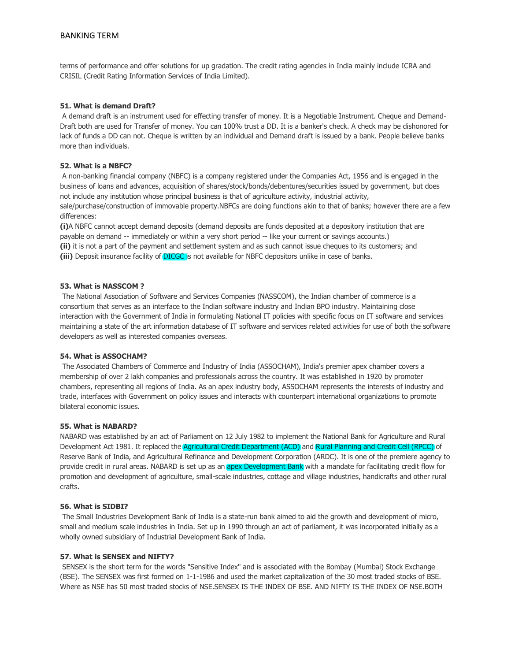terms of performance and offer solutions for up gradation. The credit rating agencies in India mainly include ICRA and CRISIL (Credit Rating Information Services of India Limited).

## **51. What is demand Draft?**

A demand draft is an instrument used for effecting transfer of money. It is a Negotiable Instrument. Cheque and Demand-Draft both are used for Transfer of money. You can 100% trust a DD. It is a banker's check. A check may be dishonored for lack of funds a DD can not. Cheque is written by an individual and Demand draft is issued by a bank. People believe banks more than individuals.

## **52. What is a NBFC?**

A non-banking financial company (NBFC) is a company registered under the Companies Act, 1956 and is engaged in the business of loans and advances, acquisition of shares/stock/bonds/debentures/securities issued by government, but does not include any institution whose principal business is that of agriculture activity, industrial activity, sale/purchase/construction of immovable property.NBFCs are doing functions akin to that of banks; however there are a few differences:

**(i)**A NBFC cannot accept demand deposits (demand deposits are funds deposited at a depository institution that are payable on demand -- immediately or within a very short period -- like your current or savings accounts.) **(ii)** it is not a part of the payment and settlement system and as such cannot issue cheques to its customers; and **(iii)** Deposit insurance facility of DICGC is not available for NBFC depositors unlike in case of banks.

#### **53. What is NASSCOM ?**

The National Association of Software and Services Companies (NASSCOM), the Indian chamber of commerce is a consortium that serves as an interface to the Indian software industry and Indian BPO industry. Maintaining close interaction with the Government of India in formulating National IT policies with specific focus on IT software and services maintaining a state of the art information database of IT software and services related activities for use of both the software developers as well as interested companies overseas.

#### **54. What is ASSOCHAM?**

The Associated Chambers of Commerce and Industry of India (ASSOCHAM), India's premier apex chamber covers a membership of over 2 lakh companies and professionals across the country. It was established in 1920 by promoter chambers, representing all regions of India. As an apex industry body, ASSOCHAM represents the interests of industry and trade, interfaces with Government on policy issues and interacts with counterpart international organizations to promote bilateral economic issues.

#### **55. What is NABARD?**

NABARD was established by an act of Parliament on 12 July 1982 to implement the National Bank for Agriculture and Rural Development Act 1981. It replaced the Agricultural Credit Department (ACD) and Rural Planning and Credit Cell (RPCC) of Reserve Bank of India, and Agricultural Refinance and Development Corporation (ARDC). It is one of the premiere agency to provide credit in rural areas. NABARD is set up as an **apex Development Bank** with a mandate for facilitating credit flow for promotion and development of agriculture, small-scale industries, cottage and village industries, handicrafts and other rural crafts.

#### **56. What is SIDBI?**

The Small Industries Development Bank of India is a state-run bank aimed to aid the growth and development of micro, small and medium scale industries in India. Set up in 1990 through an act of parliament, it was incorporated initially as a wholly owned subsidiary of Industrial Development Bank of India.

#### **57. What is SENSEX and NIFTY?**

SENSEX is the short term for the words "Sensitive Index" and is associated with the Bombay (Mumbai) Stock Exchange (BSE). The SENSEX was first formed on 1-1-1986 and used the market capitalization of the 30 most traded stocks of BSE. Where as NSE has 50 most traded stocks of NSE.SENSEX IS THE INDEX OF BSE. AND NIFTY IS THE INDEX OF NSE.BOTH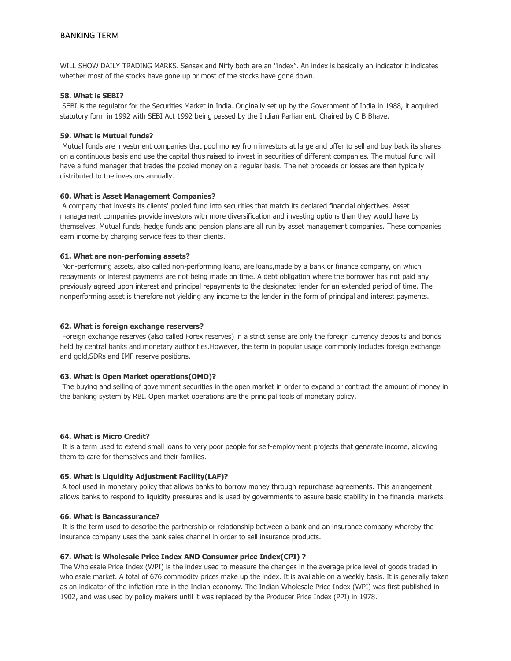WILL SHOW DAILY TRADING MARKS. Sensex and Nifty both are an "index". An index is basically an indicator it indicates whether most of the stocks have gone up or most of the stocks have gone down.

## **58. What is SEBI?**

SEBI is the regulator for the Securities Market in India. Originally set up by the Government of India in 1988, it acquired statutory form in 1992 with SEBI Act 1992 being passed by the Indian Parliament. Chaired by C B Bhave.

#### **59. What is Mutual funds?**

Mutual funds are investment companies that pool money from investors at large and offer to sell and buy back its shares on a continuous basis and use the capital thus raised to invest in securities of different companies. The mutual fund will have a fund manager that trades the pooled money on a regular basis. The net proceeds or losses are then typically distributed to the investors annually.

## **60. What is Asset Management Companies?**

A company that invests its clients' pooled fund into securities that match its declared financial objectives. Asset management companies provide investors with more diversification and investing options than they would have by themselves. Mutual funds, hedge funds and pension plans are all run by asset management companies. These companies earn income by charging service fees to their clients.

## **61. What are non-perfoming assets?**

Non-performing assets, also called non-performing loans, are loans,made by a bank or finance company, on which repayments or interest payments are not being made on time. A debt obligation where the borrower has not paid any previously agreed upon interest and principal repayments to the designated lender for an extended period of time. The nonperforming asset is therefore not yielding any income to the lender in the form of principal and interest payments.

## **62. What is foreign exchange reservers?**

Foreign exchange reserves (also called Forex reserves) in a strict sense are only the foreign currency deposits and bonds held by central banks and monetary authorities.However, the term in popular usage commonly includes foreign exchange and gold,SDRs and IMF reserve positions.

## **63. What is Open Market operations(OMO)?**

The buying and selling of government securities in the open market in order to expand or contract the amount of money in the banking system by RBI. Open market operations are the principal tools of monetary policy.

#### **64. What is Micro Credit?**

It is a term used to extend small loans to very poor people for self-employment projects that generate income, allowing them to care for themselves and their families.

#### **65. What is Liquidity Adjustment Facility(LAF)?**

A tool used in monetary policy that allows banks to borrow money through repurchase agreements. This arrangement allows banks to respond to liquidity pressures and is used by governments to assure basic stability in the financial markets.

#### **66. What is Bancassurance?**

It is the term used to describe the partnership or relationship between a bank and an insurance company whereby the insurance company uses the bank sales channel in order to sell insurance products.

## **67. What is Wholesale Price Index AND Consumer price Index(CPI) ?**

The Wholesale Price Index (WPI) is the index used to measure the changes in the average price level of goods traded in wholesale market. A total of 676 commodity prices make up the index. It is available on a weekly basis. It is generally taken as an indicator of the inflation rate in the Indian economy. The Indian Wholesale Price Index (WPI) was first published in 1902, and was used by policy makers until it was replaced by the Producer Price Index (PPI) in 1978.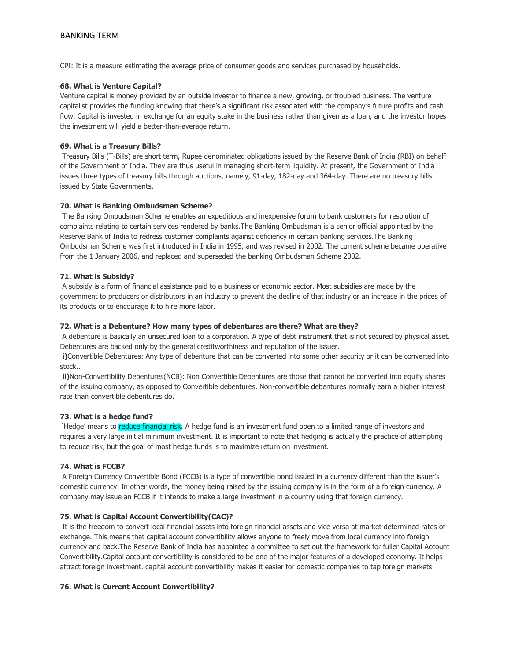CPI: It is a measure estimating the average price of consumer goods and services purchased by households.

## **68. What is Venture Capital?**

Venture capital is money provided by an outside investor to finance a new, growing, or troubled business. The venture capitalist provides the funding knowing that there's a significant risk associated with the company's future profits and cash flow. Capital is invested in exchange for an equity stake in the business rather than given as a loan, and the investor hopes the investment will yield a better-than-average return.

## **69. What is a Treasury Bills?**

Treasury Bills (T-Bills) are short term, Rupee denominated obligations issued by the Reserve Bank of India (RBI) on behalf of the Government of India. They are thus useful in managing short-term liquidity. At present, the Government of India issues three types of treasury bills through auctions, namely, 91-day, 182-day and 364-day. There are no treasury bills issued by State Governments.

## **70. What is Banking Ombudsmen Scheme?**

The Banking Ombudsman Scheme enables an expeditious and inexpensive forum to bank customers for resolution of complaints relating to certain services rendered by banks.The Banking Ombudsman is a senior official appointed by the Reserve Bank of India to redress customer complaints against deficiency in certain banking services.The Banking Ombudsman Scheme was first introduced in India in 1995, and was revised in 2002. The current scheme became operative from the 1 January 2006, and replaced and superseded the banking Ombudsman Scheme 2002.

## **71. What is Subsidy?**

A subsidy is a form of financial assistance paid to a business or economic sector. Most subsidies are made by the government to producers or distributors in an industry to prevent the decline of that industry or an increase in the prices of its products or to encourage it to hire more labor.

## **72. What is a Debenture? How many types of debentures are there? What are they?**

A debenture is basically an unsecured loan to a corporation. A type of debt instrument that is not secured by physical asset. Debentures are backed only by the general creditworthiness and reputation of the issuer.

**i)**Convertible Debentures: Any type of debenture that can be converted into some other security or it can be converted into stock..

**ii)**Non-Convertibility Debentures(NCB): Non Convertible Debentures are those that cannot be converted into equity shares of the issuing company, as opposed to Convertible debentures. Non-convertible debentures normally earn a higher interest rate than convertible debentures do.

## **73. What is a hedge fund?**

YHedge' means to **reduce financial risk**. A hedge fund is an investment fund open to a limited range of investors and requires a very large initial minimum investment. It is important to note that hedging is actually the practice of attempting to reduce risk, but the goal of most hedge funds is to maximize return on investment.

## **74. What is FCCB?**

A Foreign Currency Convertible Bond (FCCB) is a type of convertible bond issued in a currency different than the issuer's domestic currency. In other words, the money being raised by the issuing company is in the form of a foreign currency. A company may issue an FCCB if it intends to make a large investment in a country using that foreign currency.

## **75. What is Capital Account Convertibility(CAC)?**

It is the freedom to convert local financial assets into foreign financial assets and vice versa at market determined rates of exchange. This means that capital account convertibility allows anyone to freely move from local currency into foreign currency and back.The Reserve Bank of India has appointed a committee to set out the framework for fuller Capital Account Convertibility.Capital account convertibility is considered to be one of the major features of a developed economy. It helps attract foreign investment. capital account convertibility makes it easier for domestic companies to tap foreign markets.

#### **76. What is Current Account Convertibility?**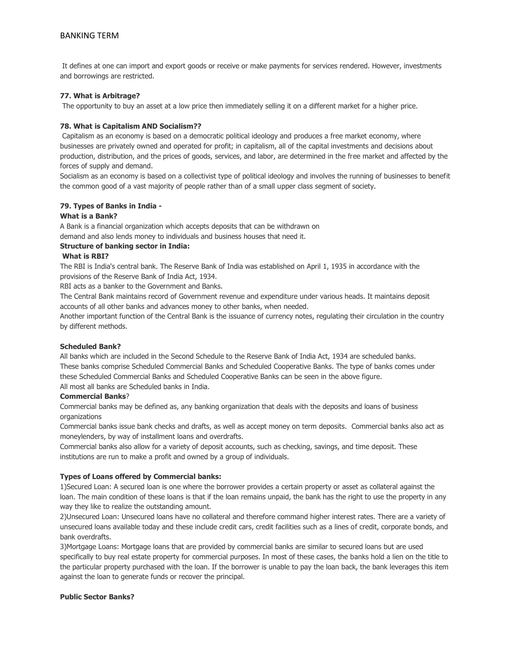It defines at one can import and export goods or receive or make payments for services rendered. However, investments and borrowings are restricted.

## **77. What is Arbitrage?**

The opportunity to buy an asset at a low price then immediately selling it on a different market for a higher price.

#### **78. What is Capitalism AND Socialism??**

Capitalism as an economy is based on a democratic political ideology and produces a free market economy, where businesses are privately owned and operated for profit; in capitalism, all of the capital investments and decisions about production, distribution, and the prices of goods, services, and labor, are determined in the free market and affected by the forces of supply and demand.

Socialism as an economy is based on a collectivist type of political ideology and involves the running of businesses to benefit the common good of a vast majority of people rather than of a small upper class segment of society.

#### **79. Types of Banks in India -**

#### **What is a Bank?**

A Bank is a financial organization which accepts deposits that can be withdrawn on

demand and also lends money to individuals and business houses that need it.

# **Structure of banking sector in India:**

## **What is RBI?**

The RBI is India's central bank. The Reserve Bank of India was established on April 1, 1935 in accordance with the provisions of the Reserve Bank of India Act, 1934.

RBI acts as a banker to the Government and Banks.

The Central Bank maintains record of Government revenue and expenditure under various heads. It maintains deposit accounts of all other banks and advances money to other banks, when needed.

Another important function of the Central Bank is the issuance of currency notes, regulating their circulation in the country by different methods.

## **Scheduled Bank?**

All banks which are included in the Second Schedule to the Reserve Bank of India Act, 1934 are scheduled banks. These banks comprise Scheduled Commercial Banks and Scheduled Cooperative Banks. The type of banks comes under these Scheduled Commercial Banks and Scheduled Cooperative Banks can be seen in the above figure. All most all banks are Scheduled banks in India.

#### **Commercial Banks**?

Commercial banks may be defined as, any banking organization that deals with the deposits and loans of business organizations

Commercial banks issue bank checks and drafts, as well as accept money on term deposits. Commercial banks also act as moneylenders, by way of installment loans and overdrafts.

Commercial banks also allow for a variety of deposit accounts, such as checking, savings, and time deposit. These institutions are run to make a profit and owned by a group of individuals.

## **Types of Loans offered by Commercial banks:**

1)Secured Loan: A secured loan is one where the borrower provides a certain property or asset as collateral against the loan. The main condition of these loans is that if the loan remains unpaid, the bank has the right to use the property in any way they like to realize the outstanding amount.

2)Unsecured Loan: Unsecured loans have no collateral and therefore command higher interest rates. There are a variety of unsecured loans available today and these include credit cars, credit facilities such as a lines of credit, corporate bonds, and bank overdrafts.

3)Mortgage Loans: Mortgage loans that are provided by commercial banks are similar to secured loans but are used specifically to buy real estate property for commercial purposes. In most of these cases, the banks hold a lien on the title to the particular property purchased with the loan. If the borrower is unable to pay the loan back, the bank leverages this item against the loan to generate funds or recover the principal.

#### **Public Sector Banks?**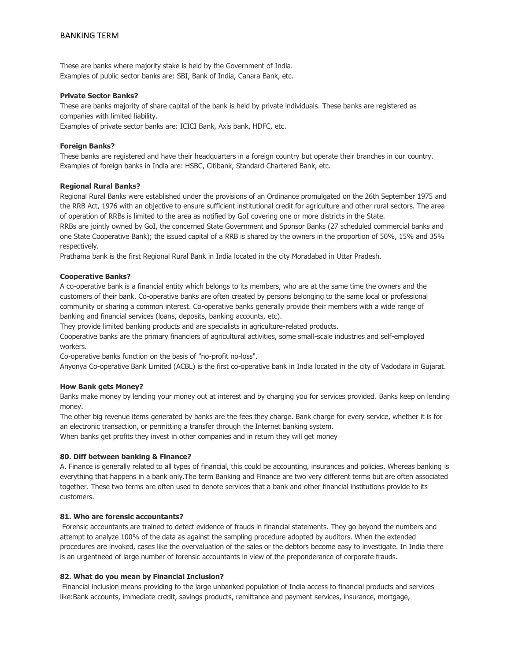These are banks where majority stake is held by the Government of India. Examples of public sector banks are: SBI, Bank of India, Canara Bank, etc.

## **Private Sector Banks?**

These are banks majority of share capital of the bank is held by private individuals. These banks are registered as companies with limited liability.

Examples of private sector banks are: ICICI Bank, Axis bank, HDFC, etc.

## **Foreign Banks?**

These banks are registered and have their headquarters in a foreign country but operate their branches in our country. Examples of foreign banks in India are: HSBC, Citibank, Standard Chartered Bank, etc.

## **Regional Rural Banks?**

Regional Rural Banks were established under the provisions of an Ordinance promulgated on the 26th September 1975 and the RRB Act, 1976 with an objective to ensure sufficient institutional credit for agriculture and other rural sectors. The area of operation of RRBs is limited to the area as notified by GoI covering one or more districts in the State.

RRBs are jointly owned by GoI, the concerned State Government and Sponsor Banks (27 scheduled commercial banks and one State Cooperative Bank); the issued capital of a RRB is shared by the owners in the proportion of 50%, 15% and 35% respectively.

Prathama bank is the first Regional Rural Bank in India located in the city Moradabad in Uttar Pradesh.

## **Cooperative Banks?**

A co-operative bank is a financial entity which belongs to its members, who are at the same time the owners and the customers of their bank. Co-operative banks are often created by persons belonging to the same local or professional community or sharing a common interest. Co-operative banks generally provide their members with a wide range of banking and financial services (loans, deposits, banking accounts, etc).

They provide limited banking products and are specialists in agriculture-related products.

Cooperative banks are the primary financiers of agricultural activities, some small-scale industries and self-employed workers.

Co-operative banks function on the basis of "no-profit no-loss".

Anyonya Co-operative Bank Limited (ACBL) is the first co-operative bank in India located in the city of Vadodara in Gujarat.

## **How Bank gets Money?**

Banks make money by lending your money out at interest and by charging you for services provided. Banks keep on lending money.

The other big revenue items generated by banks are the fees they charge. Bank charge for every service, whether it is for an electronic transaction, or permitting a transfer through the Internet banking system.

When banks get profits they invest in other companies and in return they will get money

## **80. Diff between banking & Finance?**

A. Finance is generally related to all types of financial, this could be accounting, insurances and policies. Whereas banking is everything that happens in a bank only.The term Banking and Finance are two very different terms but are often associated together. These two terms are often used to denote services that a bank and other financial institutions provide to its customers.

#### **81. Who are forensic accountants?**

Forensic accountants are trained to detect evidence of frauds in financial statements. They go beyond the numbers and attempt to analyze 100% of the data as against the sampling procedure adopted by auditors. When the extended procedures are invoked, cases like the overvaluation of the sales or the debtors become easy to investigate. In India there is an urgentneed of large number of forensic accountants in view of the preponderance of corporate frauds.

#### **82. What do you mean by Financial Inclusion?**

Financial inclusion means providing to the large unbanked population of India access to financial products and services like:Bank accounts, immediate credit, savings products, remittance and payment services, insurance, mortgage,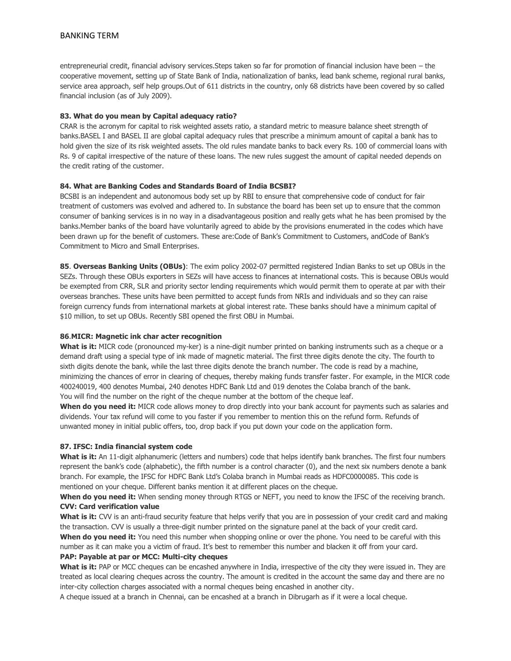entrepreneurial credit, financial advisory services.Steps taken so far for promotion of financial inclusion have been – the cooperative movement, setting up of State Bank of India, nationalization of banks, lead bank scheme, regional rural banks, service area approach, self help groups.Out of 611 districts in the country, only 68 districts have been covered by so called financial inclusion (as of July 2009).

## **83. What do you mean by Capital adequacy ratio?**

CRAR is the acronym for capital to risk weighted assets ratio, a standard metric to measure balance sheet strength of banks.BASEL I and BASEL II are global capital adequacy rules that prescribe a minimum amount of capital a bank has to hold given the size of its risk weighted assets. The old rules mandate banks to back every Rs. 100 of commercial loans with Rs. 9 of capital irrespective of the nature of these loans. The new rules suggest the amount of capital needed depends on the credit rating of the customer.

## **84. What are Banking Codes and Standards Board of India BCSBI?**

BCSBI is an independent and autonomous body set up by RBI to ensure that comprehensive code of conduct for fair treatment of customers was evolved and adhered to. In substance the board has been set up to ensure that the common consumer of banking services is in no way in a disadvantageous position and really gets what he has been promised by the banks.Member banks of the board have voluntarily agreed to abide by the provisions enumerated in the codes which have been drawn up for the benefit of customers. These are:Code of Bank's Commitment to Customers, andCode of Bank's Commitment to Micro and Small Enterprises.

**85**. **Overseas Banking Units (OBUs)**: The exim policy 2002-07 permitted registered Indian Banks to set up OBUs in the SEZs. Through these OBUs exporters in SEZs will have access to finances at international costs. This is because OBUs would be exempted from CRR, SLR and priority sector lending requirements which would permit them to operate at par with their overseas branches. These units have been permitted to accept funds from NRIs and individuals and so they can raise foreign currency funds from international markets at global interest rate. These banks should have a minimum capital of \$10 million, to set up OBUs. Recently SBI opened the first OBU in Mumbai.

#### **86**.**MICR: Magnetic ink char acter recognition**

**What is it:** MICR code (pronounced my-ker) is a nine-digit number printed on banking instruments such as a cheque or a demand draft using a special type of ink made of magnetic material. The first three digits denote the city. The fourth to sixth digits denote the bank, while the last three digits denote the branch number. The code is read by a machine, minimizing the chances of error in clearing of cheques, thereby making funds transfer faster. For example, in the MICR code 400240019, 400 denotes Mumbai, 240 denotes HDFC Bank Ltd and 019 denotes the Colaba branch of the bank. You will find the number on the right of the cheque number at the bottom of the cheque leaf.

**When do you need it:** MICR code allows money to drop directly into your bank account for payments such as salaries and dividends. Your tax refund will come to you faster if you remember to mention this on the refund form. Refunds of unwanted money in initial public offers, too, drop back if you put down your code on the application form.

#### **87. IFSC: India financial system code**

**What is it:** An 11-digit alphanumeric (letters and numbers) code that helps identify bank branches. The first four numbers represent the bank's code (alphabetic), the fifth number is a control character (0), and the next six numbers denote a bank branch. For example, the IFSC for HDFC Bank Ltd's Colaba branch in Mumbai reads as HDFC0000085. This code is mentioned on your cheque. Different banks mention it at different places on the cheque.

**When do you need it:** When sending money through RTGS or NEFT, you need to know the IFSC of the receiving branch. **CVV: Card verification value**

**What is it:** CVV is an anti-fraud security feature that helps verify that you are in possession of your credit card and making the transaction. CVV is usually a three-digit number printed on the signature panel at the back of your credit card.

When do you need it: You need this number when shopping online or over the phone. You need to be careful with this number as it can make you a victim of fraud. It's best to remember this number and blacken it off from your card.

#### **PAP: Payable at par or MCC: Multi-city cheques**

**What is it:** PAP or MCC cheques can be encashed anywhere in India, irrespective of the city they were issued in. They are treated as local clearing cheques across the country. The amount is credited in the account the same day and there are no inter-city collection charges associated with a normal cheques being encashed in another city.

A cheque issued at a branch in Chennai, can be encashed at a branch in Dibrugarh as if it were a local cheque.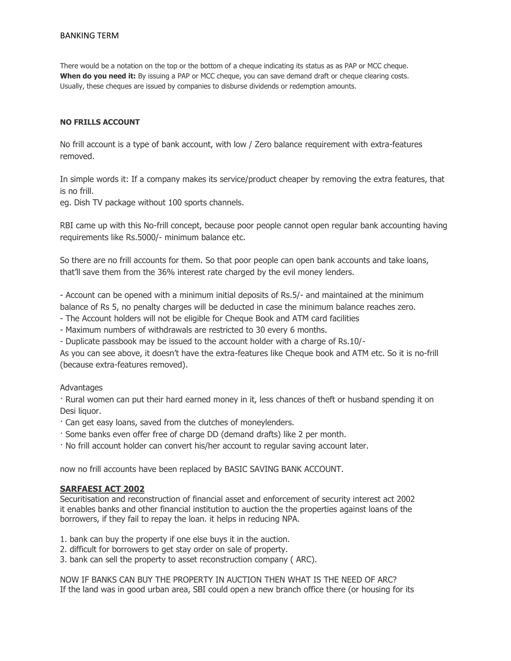There would be a notation on the top or the bottom of a cheque indicating its status as as PAP or MCC cheque. When do you need it: By issuing a PAP or MCC cheque, you can save demand draft or cheque clearing costs. Usually, these cheques are issued by companies to disburse dividends or redemption amounts.

## **NO FRILLS ACCOUNT**

No frill account is a type of bank account, with low / Zero balance requirement with extra-features removed.

In simple words it: If a company makes its service/product cheaper by removing the extra features, that is no frill.

eg. Dish TV package without 100 sports channels.

RBI came up with this No-frill concept, because poor people cannot open regular bank accounting having requirements like Rs.5000/- minimum balance etc.

So there are no frill accounts for them. So that poor people can open bank accounts and take loans, that'll save them from the 36% interest rate charged by the evil money lenders.

- Account can be opened with a minimum initial deposits of Rs.5/- and maintained at the minimum balance of Rs 5, no penalty charges will be deducted in case the minimum balance reaches zero.

- The Account holders will not be eligible for Cheque Book and ATM card facilities

- Maximum numbers of withdrawals are restricted to 30 every 6 months.

- Duplicate passbook may be issued to the account holder with a charge of Rs.10/-

As you can see above, it doesn't have the extra-features like Cheque book and ATM etc. So it is no-frill (because extra-features removed).

## **Advantages**

· Rural women can put their hard earned money in it, less chances of theft or husband spending it on Desi liquor.

- · Can get easy loans, saved from the clutches of moneylenders.
- · Some banks even offer free of charge DD (demand drafts) like 2 per month.
- · No frill account holder can convert his/her account to regular saving account later.

now no frill accounts have been replaced by BASIC SAVING BANK ACCOUNT.

## **SARFAESI ACT 2002**

Securitisation and reconstruction of financial asset and enforcement of security interest act 2002 it enables banks and other financial institution to auction the the properties against loans of the borrowers, if they fail to repay the loan. it helps in reducing NPA.

- 1. bank can buy the property if one else buys it in the auction.
- 2. difficult for borrowers to get stay order on sale of property.
- 3. bank can sell the property to asset reconstruction company ( ARC).

NOW IF BANKS CAN BUY THE PROPERTY IN AUCTION THEN WHAT IS THE NEED OF ARC? If the land was in good urban area, SBI could open a new branch office there (or housing for its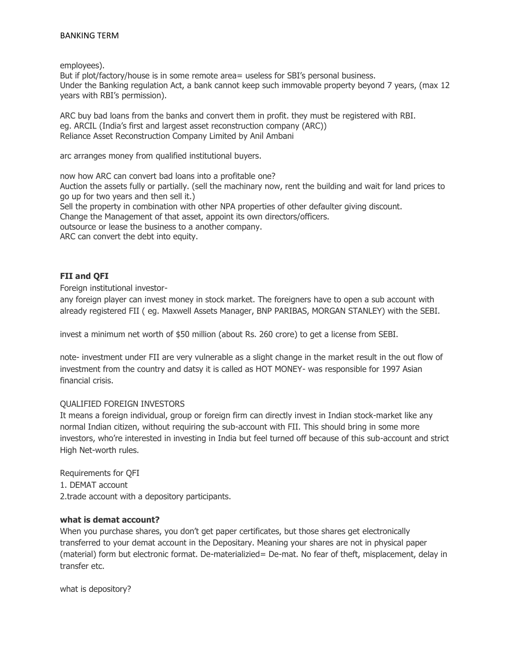employees).

But if plot/factory/house is in some remote area= useless for SBI's personal business. Under the Banking regulation Act, a bank cannot keep such immovable property beyond 7 years, (max 12 years with RBI's permission).

ARC buy bad loans from the banks and convert them in profit. they must be registered with RBI. eg. ARCIL (India's first and largest asset reconstruction company (ARC)) Reliance Asset Reconstruction Company Limited by Anil Ambani

arc arranges money from qualified institutional buyers.

now how ARC can convert bad loans into a profitable one? Auction the assets fully or partially. (sell the machinary now, rent the building and wait for land prices to go up for two years and then sell it.) Sell the property in combination with other NPA properties of other defaulter giving discount. Change the Management of that asset, appoint its own directors/officers. outsource or lease the business to a another company. ARC can convert the debt into equity.

# **FII and QFI**

Foreign institutional investor-

any foreign player can invest money in stock market. The foreigners have to open a sub account with already registered FII ( eg. Maxwell Assets Manager, BNP PARIBAS, MORGAN STANLEY) with the SEBI.

invest a minimum net worth of \$50 million (about Rs. 260 crore) to get a license from SEBI.

note- investment under FII are very vulnerable as a slight change in the market result in the out flow of investment from the country and datsy it is called as HOT MONEY- was responsible for 1997 Asian financial crisis.

# QUALIFIED FOREIGN INVESTORS

It means a foreign individual, group or foreign firm can directly invest in Indian stock-market like any normal Indian citizen, without requiring the sub-account with FII. This should bring in some more investors, who're interested in investing in India but feel turned off because of this sub-account and strict High Net-worth rules.

Requirements for QFI 1. DEMAT account 2.trade account with a depository participants.

# **what is demat account?**

When you purchase shares, you don't get paper certificates, but those shares get electronically transferred to your demat account in the Depositary. Meaning your shares are not in physical paper (material) form but electronic format. De-materializied= De-mat. No fear of theft, misplacement, delay in transfer etc.

what is depository?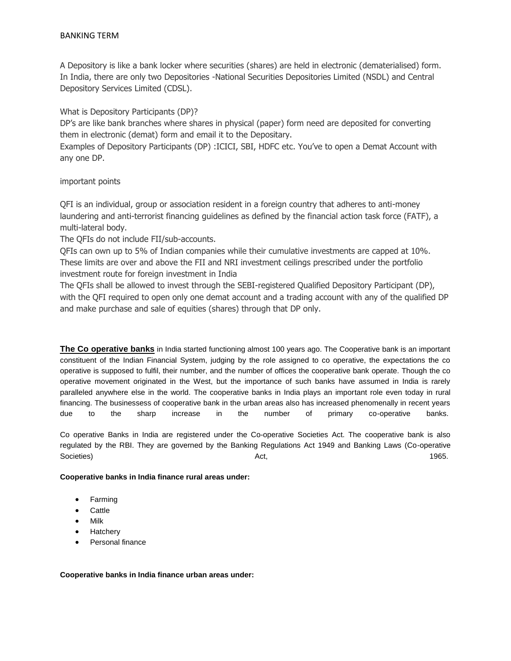A Depository is like a bank locker where securities (shares) are held in electronic (dematerialised) form. In India, there are only two Depositories -National Securities Depositories Limited (NSDL) and Central Depository Services Limited (CDSL).

What is Depository Participants (DP)?

DP's are like bank branches where shares in physical (paper) form need are deposited for converting them in electronic (demat) form and email it to the Depositary.

Examples of Depository Participants (DP) :ICICI, SBI, HDFC etc. You've to open a Demat Account with any one DP.

important points

QFI is an individual, group or association resident in a foreign country that adheres to anti-money laundering and anti-terrorist financing guidelines as defined by the financial action task force (FATF), a multi-lateral body.

The QFIs do not include FII/sub-accounts.

QFIs can own up to 5% of Indian companies while their cumulative investments are capped at 10%. These limits are over and above the FII and NRI investment ceilings prescribed under the portfolio investment route for foreign investment in India

The QFIs shall be allowed to invest through the SEBI-registered Qualified Depository Participant (DP), with the QFI required to open only one demat account and a trading account with any of the qualified DP and make purchase and sale of equities (shares) through that DP only.

**The Co operative banks** in India started functioning almost 100 years ago. The Cooperative bank is an important constituent of the Indian Financial System, judging by the role assigned to co operative, the expectations the co operative is supposed to fulfil, their number, and the number of offices the cooperative bank operate. Though the co operative movement originated in the West, but the importance of such banks have assumed in India is rarely paralleled anywhere else in the world. The cooperative banks in India plays an important role even today in rural financing. The businessess of cooperative bank in the urban areas also has increased phenomenally in recent years due to the sharp increase in the number of primary co-operative banks.

Co operative Banks in India are registered under the Co-operative Societies Act. The cooperative bank is also regulated by the RBI. They are governed by the Banking Regulations Act 1949 and Banking Laws (Co-operative Societies) Act, 1965.

**Cooperative banks in India finance rural areas under:**

- Farming
- Cattle
- Milk
- **Hatchery**
- Personal finance

**Cooperative banks in India finance urban areas under:**